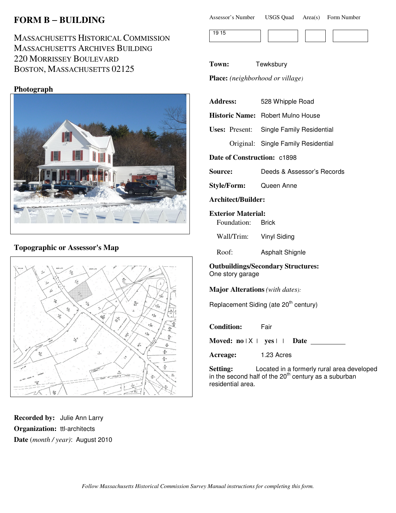# **FORM B** − **BUILDING**

MASSACHUSETTS HISTORICAL COMMISSION MASSACHUSETTS ARCHIVES BUILDING 220 MORRISSEY BOULEVARD BOSTON, MASSACHUSETTS 02125

### **Photograph**



## **Topographic or Assessor's Map**



**Recorded by:** Julie Ann Larry **Organization:** ttl-architects **Date** (*month / year)*: August 2010

| Assessor's Number | <b>USGS Quad</b> |  | Area(s) Form Number |
|-------------------|------------------|--|---------------------|
|-------------------|------------------|--|---------------------|



**Town:** Tewksbury

**Place:** *(neighborhood or village)*

| <b>Address:</b>                                               | 528 Whipple Road                           |  |  |
|---------------------------------------------------------------|--------------------------------------------|--|--|
|                                                               | Historic Name: Robert Mulno House          |  |  |
|                                                               | Uses: Present: Single Family Residential   |  |  |
|                                                               | Original: Single Family Residential        |  |  |
| Date of Construction: c1898                                   |                                            |  |  |
| Source:                                                       | Deeds & Assessor's Records                 |  |  |
|                                                               | Style/Form: Queen Anne                     |  |  |
| <b>Architect/Builder:</b>                                     |                                            |  |  |
| <b>Exterior Material:</b>                                     |                                            |  |  |
| Foundation: Brick                                             |                                            |  |  |
|                                                               | Wall/Trim: Vinyl Siding                    |  |  |
| Roof:                                                         | <b>Asphalt Shignle</b>                     |  |  |
| <b>Outbuildings/Secondary Structures:</b><br>One story garage |                                            |  |  |
| <b>Major Alterations</b> (with dates):                        |                                            |  |  |
| Replacement Siding (ate 20 <sup>th</sup> century)             |                                            |  |  |
| <b>Condition:</b> Fair                                        |                                            |  |  |
|                                                               | Moved: $no \mid X \mid yes \mid \mid$ Date |  |  |

**Acreage:** 1.23 Acres

**Setting:** Located in a formerly rural area developed in the second half of the  $20<sup>th</sup>$  century as a suburban residential area.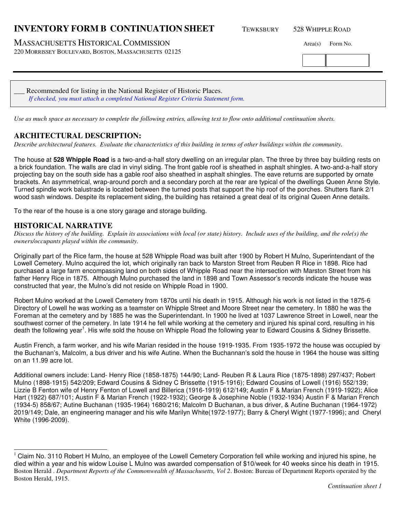### **INVENTORY FORM B CONTINUATION SHEET** TEWKSBURY 528 WHIPPLE ROAD

MASSACHUSETTS HISTORICAL COMMISSION Area(s) Form No.

220 MORRISSEY BOULEVARD, BOSTON, MASSACHUSETTS 02125

| Recommended for listing in the National Register of Historic Places.               |  |
|------------------------------------------------------------------------------------|--|
| If checked, you must attach a completed National Register Criteria Statement form. |  |

*Use as much space as necessary to complete the following entries, allowing text to flow onto additional continuation sheets.* 

#### **ARCHITECTURAL DESCRIPTION:**

*Describe architectural features. Evaluate the characteristics of this building in terms of other buildings within the community.*

The house at **528 Whipple Road** is a two-and-a-half story dwelling on an irregular plan. The three by three bay building rests on a brick foundation. The walls are clad in vinyl siding. The front gable roof is sheathed in asphalt shingles. A two-and-a-half story projecting bay on the south side has a gable roof also sheathed in asphalt shingles. The eave returns are supported by ornate brackets. An asymmetrical, wrap-around porch and a secondary porch at the rear are typical of the dwellings Queen Anne Style. Turned spindle work balustrade is located between the turned posts that support the hip roof of the porches. Shutters flank 2/1 wood sash windows. Despite its replacement siding, the building has retained a great deal of its original Queen Anne details.

To the rear of the house is a one story garage and storage building.

#### **HISTORICAL NARRATIVE**

*Discuss the history of the building. Explain its associations with local (or state) history. Include uses of the building, and the role(s) the owners/occupants played within the community.*

Originally part of the Rice farm, the house at 528 Whipple Road was built after 1900 by Robert H Mulno, Superintendant of the Lowell Cemetery. Mulno acquired the lot, which originally ran back to Marston Street from Reuben R Rice in 1898. Rice had purchased a large farm encompassing land on both sides of Whipple Road near the intersection with Marston Street from his father Henry Rice in 1875. Although Mulno purchased the land in 1898 and Town Assessor's records indicate the house was constructed that year, the Mulno's did not reside on Whipple Road in 1900.

Robert Mulno worked at the Lowell Cemetery from 1870s until his death in 1915. Although his work is not listed in the 1875-6 Directory of Lowell he was working as a teamster on Whipple Street and Moore Street near the cemetery. In 1880 he was the Foreman at the cemetery and by 1885 he was the Superintendant. In 1900 he lived at 1037 Lawrence Street in Lowell, near the southwest corner of the cemetery. In late 1914 he fell while working at the cemetery and injured his spinal cord, resulting in his death the following year<sup>1</sup>. His wife sold the house on Whipple Road the following year to Edward Cousins & Sidney Brissette.

Austin French, a farm worker, and his wife Marian resided in the house 1919-1935. From 1935-1972 the house was occupied by the Buchanan's, Malcolm, a bus driver and his wife Autine. When the Buchannan's sold the house in 1964 the house was sitting on an 11.99 acre lot.

Additional owners include: Land- Henry Rice (1858-1875) 144/90; Land- Reuben R & Laura Rice (1875-1898) 297/437; Robert Mulno (1898-1915) 542/209; Edward Cousins & Sidney C Brissette (1915-1916); Edward Cousins of Lowell (1916) 552/139; Lizzie B Fenton wife of Henry Fenton of Lowell and Billerica (1916-1919) 612/149; Austin F & Marian French (1919-1922); Alice Hart (1922) 687/101; Austin F & Marian French (1922-1932); George & Josephine Noble (1932-1934) Austin F & Marian French (1934-5) 858/67; Autine Buchanan (1935-1964) 1680/216; Malcolm D Buchanan, a bus driver, & Autine Buchanan (1964-1972) 2019/149; Dale, an engineering manager and his wife Marilyn White(1972-1977); Barry & Cheryl Wight (1977-1996); and Cheryl White (1996-2009).

j Claim No. 3110 Robert H Mulno, an employee of the Lowell Cemetery Corporation fell while working and injured his spine, he died within a year and his widow Louise L Mulno was awarded compensation of \$10/week for 40 weeks since his death in 1915. Boston Herald . *Department Reports of the Commonwealth of Massachusetts, Vol 2*. Boston: Bureau of Department Reports operated by the Boston Herald, 1915.